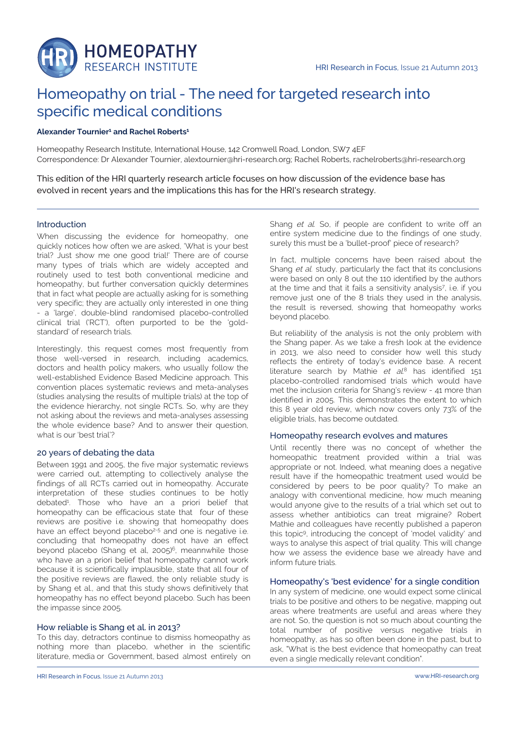

# Homeopathy on trial - The need for targeted research into specific medical conditions

# **Alexander Tournier<sup>1</sup> and Rachel Roberts<sup>1</sup>**

Homeopathy Research Institute, International House, 142 Cromwell Road, London, SW7 4EF Correspondence: Dr Alexander Tournier, alextournier@hri-research.org; Rachel Roberts, rachelroberts@hri-research.org

This edition of the HRI quarterly research article focuses on how discussion of the evidence base has evolved in recent years and the implications this has for the HRI's research strategy.

# Introduction

When discussing the evidence for homeopathy, one quickly notices how often we are asked, 'What is your best trial? Just show me one good trial!' There are of course many types of trials which are widely accepted and routinely used to test both conventional medicine and homeopathy, but further conversation quickly determines that in fact what people are actually asking for is something very specific; they are actually only interested in one thing - a 'large', double-blind randomised placebo-controlled clinical trial ('RCT'), often purported to be the 'goldstandard' of research trials.

Interestingly, this request comes most frequently from those well-versed in research, including academics, doctors and health policy makers, who usually follow the well-established Evidence Based Medicine approach. This convention places systematic reviews and meta-analyses (studies analysing the results of multiple trials) at the top of the evidence hierarchy, not single RCTs. So, why are they not asking about the reviews and meta-analyses assessing the whole evidence base? And to answer their question, what is our 'best trial'?

# 20 years of debating the data

Between 1991 and 2005, the five major systematic reviews were carried out, attempting to collectively analyse the findings of all RCTs carried out in homeopathy. Accurate interpretation of these studies continues to be hotly debated<sup>1</sup> . Those who have an a priori belief that homeopathy can be efficacious state that four of these reviews are positive i.e. showing that homeopathy does have an effect beyond placebo<sup>2-5</sup> and one is negative i.e. concluding that homeopathy does not have an effect beyond placebo (Shang et al, 2005)<sup>6</sup>, meannwhile those who have an a priori belief that homeopathy cannot work because it is scientifically implausible, state that all four of the positive reviews are flawed, the only reliable study is by Shang et al., and that this study shows definitively that homeopathy has no effect beyond placebo. Such has been the impasse since 2005.

# How reliable is Shang et al. in 2013?

To this day, detractors continue to dismiss homeopathy as nothing more than placebo, whether in the scientific literature, media or Government, based almost entirely on Shang et al. So, if people are confident to write off an entire system medicine due to the findings of one study, surely this must be a 'bullet-proof' piece of research?

In fact, multiple concerns have been raised about the Shang et al. study, particularly the fact that its conclusions were based on only 8 out the 110 identified by the authors at the time and that it fails a sensitivity analysis<sup>7</sup> , i.e. if you remove just one of the 8 trials they used in the analysis, the result is reversed, showing that homeopathy works beyond placebo.

But reliability of the analysis is not the only problem with the Shang paper. As we take a fresh look at the evidence in 2013, we also need to consider how well this study reflects the entirety of today's evidence base. A recent literature search by Mathie et al.<sup>8</sup> has identified 151 placebo-controlled randomised trials which would have met the inclusion criteria for Shang's review - 41 more than identified in 2005. This demonstrates the extent to which this 8 year old review, which now covers only 73% of the eligible trials, has become outdated.

# Homeopathy research evolves and matures

Until recently there was no concept of whether the homeopathic treatment provided within a trial was appropriate or not. Indeed, what meaning does a negative result have if the homeopathic treatment used would be considered by peers to be poor quality? To make an analogy with conventional medicine, how much meaning would anyone give to the results of a trial which set out to assess whether antibiotics can treat migraine? Robert Mathie and colleagues have recently published a paperon this topic<sup>9</sup> , introducing the concept of 'model validity' and ways to analyse this aspect of trial quality. This will change how we assess the evidence base we already have and inform future trials.

## Homeopathy's 'best evidence' for a single condition

In any system of medicine, one would expect some clinical trials to be positive and others to be negative, mapping out areas where treatments are useful and areas where they are not. So, the question is not so much about counting the total number of positive versus negative trials in homeopathy, as has so often been done in the past, but to ask, "What is the best evidence that homeopathy can treat even a single medically relevant condition".